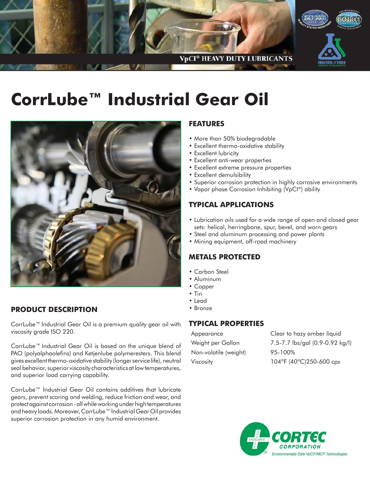

# **CorrLube™ Industrial Gear Oil**



# **PRODUCT DESCRIPTION**

CorrLube™ Industrial Gear Oil is a premium quality gear oil with viscosity grade ISO 220.

CorrLube™ Industrial Gear Oil is based on the unique blend of PAO (polyalphaolefins) and Ketjenlube polymeresters. This blend gives excellent thermo-oxidative stability (longer service life), neutral seal behavior, superior viscosity characteristics at low temperatures, and superior load carrying capability.

CorrLube™ Industrial Gear Oil contains additives that lubricate gears, prevent scoring and welding, reduce friction and wear, and protect against corrosion - all while working under high temperatures and heavy loads. Moreover, CorrLube™ Industrial Gear Oil provides superior corrosion protection in any humid environment.

## **FEATURES**

- More than 50% biodegradable
- Excellent thermo-oxidative stability
- Excellent lubricity
- Excellent anti-wear properties
- Excellent extreme pressure properties
- Excellent demulsibility
- Superior corrosion protection in highly corrosive environments
- Vapor phase Corrosion Inhibiting (VpCI®) ability

### **TYPICAL APPLICATIONS**

- Lubrication oils used for a wide range of open and closed gear sets: helical, herringbone, spur, bevel, and worn gears
- Steel and aluminum processing and power plants
- Mining equipment, off-road machinery

## **METALS PROTECTED**

- Carbon Steel
- Aluminum
- Copper
- Tin
- Lead
- Bronze

#### **TYPICAL PROPERTIES**

| Clear to hazy amber liquid      |
|---------------------------------|
| 7.5-7.7 lbs/gal (0.9-0.92 kg/l) |
| 95-100%                         |
| 104°F (40°C)250-600 cps         |
|                                 |